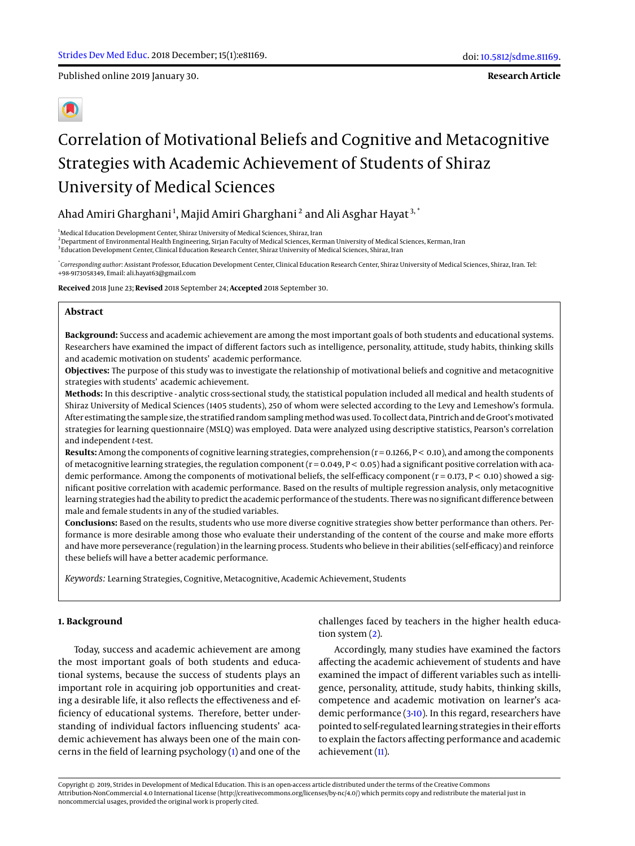Published online 2019 January 30.

**Research Article**

# Correlation of Motivational Beliefs and Cognitive and Metacognitive Strategies with Academic Achievement of Students of Shiraz University of Medical Sciences

Ahad Amiri Gharghani<sup>1</sup>, Majid Amiri Gharghani<sup>2</sup> and Ali Asghar Hayat<sup>3,</sup>  $^{\ast}$ 

 $1<sup>1</sup>$ Medical Education Development Center, Shiraz University of Medical Sciences, Shiraz, Iran <sup>2</sup> Department of Environmental Health Engineering, Sirjan Faculty of Medical Sciences, Kerman University of Medical Sciences, Kerman, Iran

3 Education Development Center, Clinical Education Research Center, Shiraz University of Medical Sciences, Shiraz, Iran

\* *Corresponding author*: Assistant Professor, Education Development Center, Clinical Education Research Center, Shiraz University of Medical Sciences, Shiraz, Iran. Tel: +98-9173058349, Email: ali.hayat63@gmail.com

**Received** 2018 June 23; **Revised** 2018 September 24; **Accepted** 2018 September 30.

#### **Abstract**

**Background:** Success and academic achievement are among the most important goals of both students and educational systems. Researchers have examined the impact of different factors such as intelligence, personality, attitude, study habits, thinking skills and academic motivation on students' academic performance.

**Objectives:** The purpose of this study was to investigate the relationship of motivational beliefs and cognitive and metacognitive strategies with students' academic achievement.

**Methods:** In this descriptive - analytic cross-sectional study, the statistical population included all medical and health students of Shiraz University of Medical Sciences (1405 students), 250 of whom were selected according to the Levy and Lemeshow's formula. After estimating the sample size, the stratified random sampling method was used. To collect data, Pintrich and de Groot's motivated strategies for learning questionnaire (MSLQ) was employed. Data were analyzed using descriptive statistics, Pearson's correlation and independent *t*-test.

**Results:** Among the components of cognitive learning strategies, comprehension (r = 0.1266, P < 0.10), and among the components of metacognitive learning strategies, the regulation component  $(r = 0.049, P < 0.05)$  had a significant positive correlation with academic performance. Among the components of motivational beliefs, the self-efficacy component ( $r = 0.173$ ,  $P < 0.10$ ) showed a significant positive correlation with academic performance. Based on the results of multiple regression analysis, only metacognitive learning strategies had the ability to predict the academic performance of the students. There was no significant difference between male and female students in any of the studied variables.

**Conclusions:** Based on the results, students who use more diverse cognitive strategies show better performance than others. Performance is more desirable among those who evaluate their understanding of the content of the course and make more efforts and have more perseverance (regulation) in the learning process. Students who believe in their abilities (self-efficacy) and reinforce these beliefs will have a better academic performance.

*Keywords:* Learning Strategies, Cognitive, Metacognitive, Academic Achievement, Students

## **1. Background**

Today, success and academic achievement are among the most important goals of both students and educational systems, because the success of students plays an important role in acquiring job opportunities and creating a desirable life, it also reflects the effectiveness and efficiency of educational systems. Therefore, better understanding of individual factors influencing students' academic achievement has always been one of the main concerns in the field of learning psychology [\(1\)](#page-5-0) and one of the

challenges faced by teachers in the higher health education system [\(2\)](#page-5-1).

Accordingly, many studies have examined the factors affecting the academic achievement of students and have examined the impact of different variables such as intelligence, personality, attitude, study habits, thinking skills, competence and academic motivation on learner's academic performance [\(3-](#page-5-2)[10\)](#page-5-3). In this regard, researchers have pointed to self-regulated learning strategies in their efforts to explain the factors affecting performance and academic achievement [\(11\)](#page-5-4).

Copyright © 2019, Strides in Development of Medical Education. This is an open-access article distributed under the terms of the Creative Commons Attribution-NonCommercial 4.0 International License (http://creativecommons.org/licenses/by-nc/4.0/) which permits copy and redistribute the material just in noncommercial usages, provided the original work is properly cited.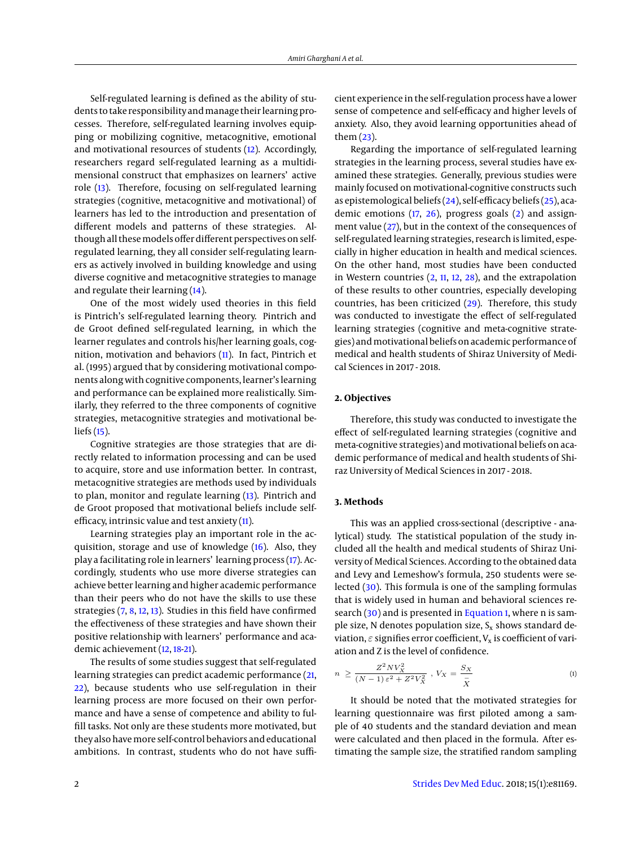Self-regulated learning is defined as the ability of students to take responsibility and manage their learning processes. Therefore, self-regulated learning involves equipping or mobilizing cognitive, metacognitive, emotional and motivational resources of students [\(12\)](#page-5-5). Accordingly, researchers regard self-regulated learning as a multidimensional construct that emphasizes on learners' active role [\(13\)](#page-5-6). Therefore, focusing on self-regulated learning strategies (cognitive, metacognitive and motivational) of learners has led to the introduction and presentation of different models and patterns of these strategies. Although all thesemodels offer different perspectives on selfregulated learning, they all consider self-regulating learners as actively involved in building knowledge and using diverse cognitive and metacognitive strategies to manage and regulate their learning [\(14\)](#page-6-0).

One of the most widely used theories in this field is Pintrich's self-regulated learning theory. Pintrich and de Groot defined self-regulated learning, in which the learner regulates and controls his/her learning goals, cognition, motivation and behaviors [\(11\)](#page-5-4). In fact, Pintrich et al. (1995) argued that by considering motivational components along with cognitive components, learner's learning and performance can be explained more realistically. Similarly, they referred to the three components of cognitive strategies, metacognitive strategies and motivational beliefs [\(15\)](#page-6-1).

Cognitive strategies are those strategies that are directly related to information processing and can be used to acquire, store and use information better. In contrast, metacognitive strategies are methods used by individuals to plan, monitor and regulate learning [\(13\)](#page-5-6). Pintrich and de Groot proposed that motivational beliefs include selfefficacy, intrinsic value and test anxiety [\(11\)](#page-5-4).

Learning strategies play an important role in the acquisition, storage and use of knowledge [\(16\)](#page-6-2). Also, they play a facilitating role in learners' learning process [\(17\)](#page-6-3). Accordingly, students who use more diverse strategies can achieve better learning and higher academic performance than their peers who do not have the skills to use these strategies [\(7,](#page-5-7) [8,](#page-5-8) [12,](#page-5-5) [13\)](#page-5-6). Studies in this field have confirmed the effectiveness of these strategies and have shown their positive relationship with learners' performance and academic achievement [\(12,](#page-5-5) [18](#page-6-4)[-21\)](#page-6-5).

The results of some studies suggest that self-regulated learning strategies can predict academic performance [\(21,](#page-6-5) [22\)](#page-6-6), because students who use self-regulation in their learning process are more focused on their own performance and have a sense of competence and ability to fulfill tasks. Not only are these students more motivated, but they also have more self-control behaviors and educational ambitions. In contrast, students who do not have sufficient experience in the self-regulation process have a lower sense of competence and self-efficacy and higher levels of anxiety. Also, they avoid learning opportunities ahead of them [\(23\)](#page-6-7).

Regarding the importance of self-regulated learning strategies in the learning process, several studies have examined these strategies. Generally, previous studies were mainly focused on motivational-cognitive constructs such as epistemological beliefs [\(24\)](#page-6-8), self-efficacy beliefs [\(25\)](#page-6-9), academic emotions [\(17,](#page-6-3) [26\)](#page-6-10), progress goals [\(2\)](#page-5-1) and assignment value [\(27\)](#page-6-11), but in the context of the consequences of self-regulated learning strategies, research is limited, especially in higher education in health and medical sciences. On the other hand, most studies have been conducted in Western countries [\(2,](#page-5-1) [11,](#page-5-4) [12,](#page-5-5) [28\)](#page-6-12), and the extrapolation of these results to other countries, especially developing countries, has been criticized [\(29\)](#page-6-13). Therefore, this study was conducted to investigate the effect of self-regulated learning strategies (cognitive and meta-cognitive strategies) andmotivational beliefs on academic performance of medical and health students of Shiraz University of Medical Sciences in 2017 - 2018.

## **2. Objectives**

Therefore, this study was conducted to investigate the effect of self-regulated learning strategies (cognitive and meta-cognitive strategies) and motivational beliefs on academic performance of medical and health students of Shiraz University of Medical Sciences in 2017 - 2018.

## <span id="page-1-0"></span>**3. Methods**

This was an applied cross-sectional (descriptive - analytical) study. The statistical population of the study included all the health and medical students of Shiraz University of Medical Sciences. According to the obtained data and Levy and Lemeshow's formula, 250 students were selected [\(30\)](#page-6-14). This formula is one of the sampling formulas that is widely used in human and behavioral sciences re-search [\(30\)](#page-6-14) and is presented in [Equation 1,](#page-1-0) where n is sample size, N denotes population size,  $S_x$  shows standard deviation,  $\varepsilon$  signifies error coefficient,  $V_x$  is coefficient of variation and Z is the level of confidence.

$$
n \ge \frac{Z^2 N V_X^2}{(N-1)\,\varepsilon^2 + Z^2 V_X^2}, \ V_X = \frac{S_X}{\overline{X}} \tag{1}
$$

It should be noted that the motivated strategies for learning questionnaire was first piloted among a sample of 40 students and the standard deviation and mean were calculated and then placed in the formula. After estimating the sample size, the stratified random sampling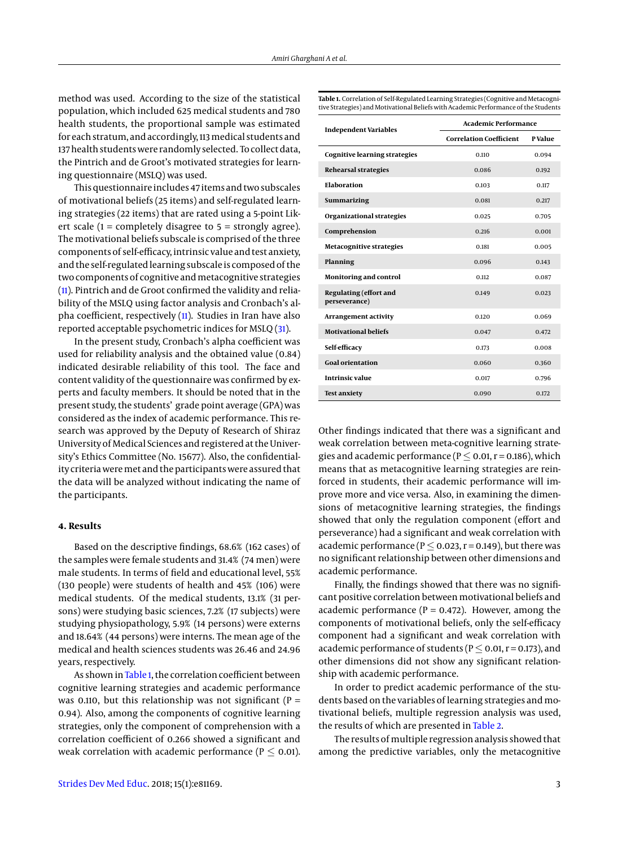method was used. According to the size of the statistical population, which included 625 medical students and 780 health students, the proportional sample was estimated for each stratum, and accordingly, 113medical students and 137 health students were randomly selected. To collect data, the Pintrich and de Groot's motivated strategies for learning questionnaire (MSLQ) was used.

This questionnaire includes 47 items and two subscales of motivational beliefs (25 items) and self-regulated learning strategies (22 items) that are rated using a 5-point Likert scale ( $1 =$  completely disagree to  $5 =$  strongly agree). The motivational beliefs subscale is comprised of the three components of self-efficacy, intrinsic value and test anxiety, and the self-regulated learning subscale is composed of the two components of cognitive and metacognitive strategies [\(11\)](#page-5-4). Pintrich and de Groot confirmed the validity and reliability of the MSLQ using factor analysis and Cronbach's alpha coefficient, respectively [\(11\)](#page-5-4). Studies in Iran have also reported acceptable psychometric indices for MSLQ [\(31\)](#page-6-15).

In the present study, Cronbach's alpha coefficient was used for reliability analysis and the obtained value (0.84) indicated desirable reliability of this tool. The face and content validity of the questionnaire was confirmed by experts and faculty members. It should be noted that in the present study, the students' grade point average (GPA) was considered as the index of academic performance. This research was approved by the Deputy of Research of Shiraz University of Medical Sciences and registered at the University's Ethics Committee (No. 15677). Also, the confidentiality criteria were met and the participants were assured that the data will be analyzed without indicating the name of the participants.

#### **4. Results**

Based on the descriptive findings, 68.6% (162 cases) of the samples were female students and 31.4% (74 men) were male students. In terms of field and educational level, 55% (130 people) were students of health and 45% (106) were medical students. Of the medical students, 13.1% (31 persons) were studying basic sciences, 7.2% (17 subjects) were studying physiopathology, 5.9% (14 persons) were externs and 18.64% (44 persons) were interns. The mean age of the medical and health sciences students was 26.46 and 24.96 years, respectively.

As shown in [Table 1,](#page-2-0) the correlation coefficient between cognitive learning strategies and academic performance was 0.110, but this relationship was not significant ( $P =$ 0.94). Also, among the components of cognitive learning strategies, only the component of comprehension with a correlation coefficient of 0.266 showed a significant and weak correlation with academic performance ( $P \leq 0.01$ ). <span id="page-2-0"></span>**Table 1.** Correlation of Self-Regulated Learning Strategies (Cognitive and Metacognitive Strategies) and Motivational Beliefs with Academic Performance of the Students

| <b>Independent Variables</b>                   | <b>Academic Performance</b>    |                |  |  |
|------------------------------------------------|--------------------------------|----------------|--|--|
|                                                | <b>Correlation Coefficient</b> | <b>P</b> Value |  |  |
| <b>Cognitive learning strategies</b>           | 0.110                          | 0.094          |  |  |
| <b>Rehearsal strategies</b>                    | 0.086                          | 0.192          |  |  |
| <b>Elaboration</b>                             | 0.103                          | 0.117          |  |  |
| <b>Summarizing</b>                             | 0.081                          | 0.217          |  |  |
| Organizational strategies                      | 0.025                          | 0.705          |  |  |
| Comprehension                                  | 0.216                          | 0.001          |  |  |
| <b>Metacognitive strategies</b>                | 0.181                          | 0.005          |  |  |
| Planning                                       | 0.096                          | 0.143          |  |  |
| Monitoring and control                         | 0.112                          | 0.087          |  |  |
| <b>Regulating (effort and</b><br>perseverance) | 0.149                          | 0.023          |  |  |
| <b>Arrangement activity</b>                    | 0.120                          | 0.069          |  |  |
| <b>Motivational beliefs</b>                    | 0.047                          | 0.472          |  |  |
| Self-efficacy                                  | 0.173                          | 0.008          |  |  |
| <b>Goal orientation</b>                        | 0.060                          | 0.360          |  |  |
| Intrinsic value                                | 0.017                          | 0.796          |  |  |
| <b>Test anxiety</b>                            | 0.090                          | 0.172          |  |  |

Other findings indicated that there was a significant and weak correlation between meta-cognitive learning strategies and academic performance ( $P \le 0.01$ ,  $r = 0.186$ ), which means that as metacognitive learning strategies are reinforced in students, their academic performance will improve more and vice versa. Also, in examining the dimensions of metacognitive learning strategies, the findings showed that only the regulation component (effort and perseverance) had a significant and weak correlation with academic performance ( $P \le 0.023$ , r = 0.149), but there was no significant relationship between other dimensions and academic performance.

Finally, the findings showed that there was no significant positive correlation between motivational beliefs and academic performance ( $P = 0.472$ ). However, among the components of motivational beliefs, only the self-efficacy component had a significant and weak correlation with academic performance of students ( $P \le 0.01$ ,  $r = 0.173$ ), and other dimensions did not show any significant relationship with academic performance.

In order to predict academic performance of the students based on the variables of learning strategies and motivational beliefs, multiple regression analysis was used, the results of which are presented in [Table 2.](#page-3-0)

The results of multiple regression analysis showed that among the predictive variables, only the metacognitive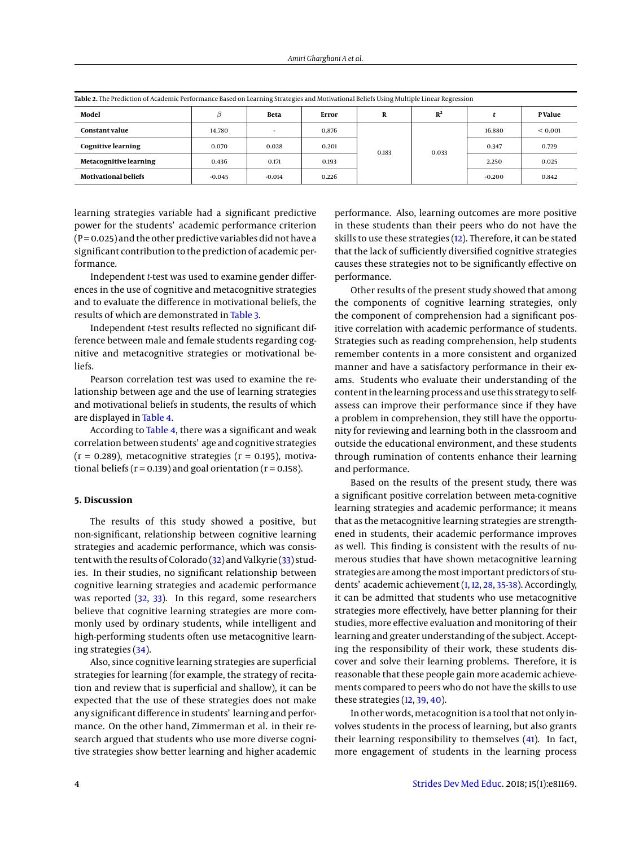| Table 2. The Prediction of Academic Performance Based on Learning Strategies and Motivational Beliefs Using Multiple Linear Regression |          |                          |       |   |                |          |             |
|----------------------------------------------------------------------------------------------------------------------------------------|----------|--------------------------|-------|---|----------------|----------|-------------|
| Model                                                                                                                                  |          | Beta                     | Error | R | $R^2$          |          | P Value     |
| <b>Constant value</b>                                                                                                                  | 14.780   | $\overline{\phantom{a}}$ | 0.876 |   | 0.183<br>0.033 | 16.880   | ${}< 0.001$ |
| <b>Cognitive learning</b>                                                                                                              | 0.070    | 0.028                    | 0.201 |   |                | 0.347    | 0.729       |
| <b>Metacognitive learning</b>                                                                                                          | 0.436    | 0.171                    | 0.193 |   |                | 2.250    | 0.025       |
| <b>Motivational beliefs</b>                                                                                                            | $-0.045$ | $-0.014$                 | 0.226 |   |                | $-0.200$ | 0.842       |

<span id="page-3-0"></span>

learning strategies variable had a significant predictive power for the students' academic performance criterion  $(P = 0.025)$  and the other predictive variables did not have a significant contribution to the prediction of academic performance.

Independent *t*-test was used to examine gender differences in the use of cognitive and metacognitive strategies and to evaluate the difference in motivational beliefs, the results of which are demonstrated in [Table 3.](#page-4-0)

Independent *t*-test results reflected no significant difference between male and female students regarding cognitive and metacognitive strategies or motivational beliefs.

Pearson correlation test was used to examine the relationship between age and the use of learning strategies and motivational beliefs in students, the results of which are displayed in [Table 4.](#page-4-1)

According to [Table 4,](#page-4-1) there was a significant and weak correlation between students' age and cognitive strategies  $(r = 0.289)$ , metacognitive strategies  $(r = 0.195)$ , motivational beliefs ( $r = 0.139$ ) and goal orientation ( $r = 0.158$ ).

#### **5. Discussion**

The results of this study showed a positive, but non-significant, relationship between cognitive learning strategies and academic performance, which was consis-tent with the results of Colorado [\(32\)](#page-6-16) and Valkyrie [\(33\)](#page-6-17) studies. In their studies, no significant relationship between cognitive learning strategies and academic performance was reported [\(32,](#page-6-16) [33\)](#page-6-17). In this regard, some researchers believe that cognitive learning strategies are more commonly used by ordinary students, while intelligent and high-performing students often use metacognitive learning strategies [\(34\)](#page-6-18).

Also, since cognitive learning strategies are superficial strategies for learning (for example, the strategy of recitation and review that is superficial and shallow), it can be expected that the use of these strategies does not make any significant difference in students' learning and performance. On the other hand, Zimmerman et al. in their research argued that students who use more diverse cognitive strategies show better learning and higher academic

performance. Also, learning outcomes are more positive in these students than their peers who do not have the skills to use these strategies [\(12\)](#page-5-5). Therefore, it can be stated that the lack of sufficiently diversified cognitive strategies causes these strategies not to be significantly effective on performance.

Other results of the present study showed that among the components of cognitive learning strategies, only the component of comprehension had a significant positive correlation with academic performance of students. Strategies such as reading comprehension, help students remember contents in a more consistent and organized manner and have a satisfactory performance in their exams. Students who evaluate their understanding of the content in the learning process and use this strategy to selfassess can improve their performance since if they have a problem in comprehension, they still have the opportunity for reviewing and learning both in the classroom and outside the educational environment, and these students through rumination of contents enhance their learning and performance.

Based on the results of the present study, there was a significant positive correlation between meta-cognitive learning strategies and academic performance; it means that as the metacognitive learning strategies are strengthened in students, their academic performance improves as well. This finding is consistent with the results of numerous studies that have shown metacognitive learning strategies are among the most important predictors of students' academic achievement [\(1,](#page-5-0) [12,](#page-5-5) [28,](#page-6-12) [35](#page-6-19)[-38\)](#page-6-20). Accordingly, it can be admitted that students who use metacognitive strategies more effectively, have better planning for their studies, more effective evaluation and monitoring of their learning and greater understanding of the subject. Accepting the responsibility of their work, these students discover and solve their learning problems. Therefore, it is reasonable that these people gain more academic achievements compared to peers who do not have the skills to use these strategies [\(12,](#page-5-5) [39,](#page-6-21) [40\)](#page-6-22).

In other words, metacognition is a tool that not only involves students in the process of learning, but also grants their learning responsibility to themselves [\(41\)](#page-6-23). In fact, more engagement of students in the learning process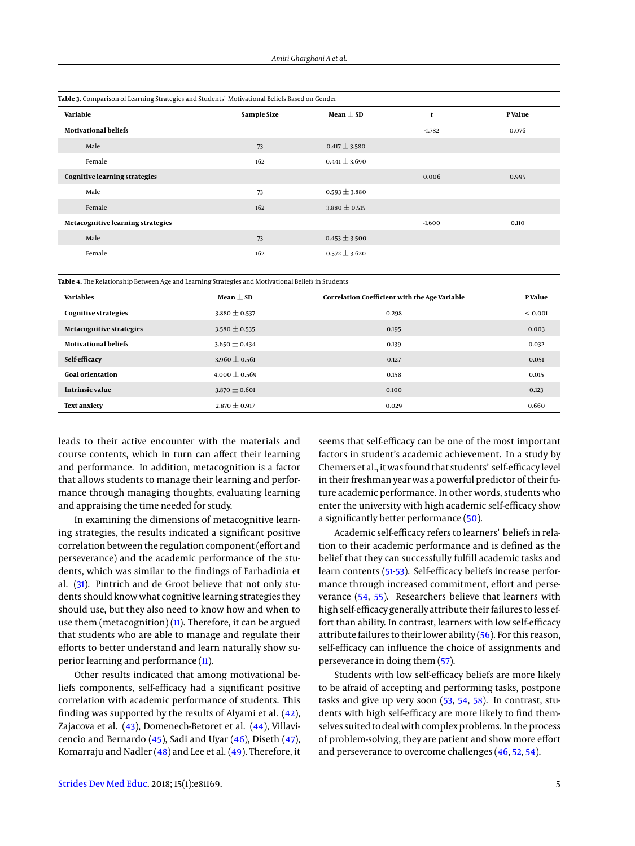<span id="page-4-0"></span>

| Table 3. Comparison of Learning Strategies and Students' Motivational Beliefs Based on Gender |             |                   |          |         |
|-----------------------------------------------------------------------------------------------|-------------|-------------------|----------|---------|
| Variable                                                                                      | Sample Size | Mean $\pm$ SD     | t        | P Value |
| <b>Motivational beliefs</b>                                                                   |             |                   | $-1.782$ | 0.076   |
| Male                                                                                          | 73          | $0.417 \pm 3.580$ |          |         |
| Female                                                                                        | 162         | $0.441 \pm 3.690$ |          |         |
| <b>Cognitive learning strategies</b>                                                          |             |                   | 0.006    | 0.995   |
| Male                                                                                          | 73          | $0.593 \pm 3.880$ |          |         |
| Female                                                                                        | 162         | $3.880 \pm 0.515$ |          |         |
| Metacognitive learning strategies                                                             |             |                   | $-1.600$ | 0.110   |
| Male                                                                                          | 73          | $0.453 \pm 3.500$ |          |         |
| Female                                                                                        | 162         | $0.572 \pm 3.620$ |          |         |
|                                                                                               |             |                   |          |         |

<span id="page-4-1"></span>**Table 4.** The Relationship Between Age and Learning Strategies and Motivational Beliefs in Students

| <b>Variables</b>                | Mean $\pm$ SD     | Correlation Coefficient with the Age Variable | P Value     |
|---------------------------------|-------------------|-----------------------------------------------|-------------|
| Cognitive strategies            | $3.880 \pm 0.537$ | 0.298                                         | ${}< 0.001$ |
| <b>Metacognitive strategies</b> | $3.580 \pm 0.535$ | 0.195                                         | 0.003       |
| <b>Motivational beliefs</b>     | $3.650 \pm 0.434$ | 0.139                                         | 0.032       |
| Self-efficacy                   | $3.960 \pm 0.561$ | 0.127                                         | 0.051       |
| <b>Goal orientation</b>         | $4.000 \pm 0.569$ | 0.158                                         | 0.015       |
| Intrinsic value                 | $3.870 \pm 0.601$ | 0.100                                         | 0.123       |
| <b>Text anxiety</b>             | $2.870 \pm 0.917$ | 0.029                                         | 0.660       |

leads to their active encounter with the materials and course contents, which in turn can affect their learning and performance. In addition, metacognition is a factor that allows students to manage their learning and performance through managing thoughts, evaluating learning and appraising the time needed for study.

In examining the dimensions of metacognitive learning strategies, the results indicated a significant positive correlation between the regulation component (effort and perseverance) and the academic performance of the students, which was similar to the findings of Farhadinia et al. [\(31\)](#page-6-15). Pintrich and de Groot believe that not only students should know what cognitive learning strategies they should use, but they also need to know how and when to use them (metacognition)  $(11)$ . Therefore, it can be argued that students who are able to manage and regulate their efforts to better understand and learn naturally show superior learning and performance [\(11\)](#page-5-4).

Other results indicated that among motivational beliefs components, self-efficacy had a significant positive correlation with academic performance of students. This finding was supported by the results of Alyami et al. [\(42\)](#page-6-24), Zajacova et al. [\(43\)](#page-6-25), Domenech-Betoret et al. [\(44\)](#page-6-26), Villavicencio and Bernardo [\(45\)](#page-6-27), Sadi and Uyar [\(46\)](#page-6-28), Diseth [\(47\)](#page-6-29), Komarraju and Nadler [\(48\)](#page-6-30) and Lee et al. [\(49\)](#page-6-31). Therefore, it

seems that self-efficacy can be one of the most important factors in student's academic achievement. In a study by Chemers et al., it was found that students' self-efficacy level in their freshman year was a powerful predictor of their future academic performance. In other words, students who enter the university with high academic self-efficacy show a significantly better performance [\(50\)](#page-6-32).

Academic self-efficacy refers to learners' beliefs in relation to their academic performance and is defined as the belief that they can successfully fulfill academic tasks and learn contents [\(51](#page-6-33)[-53\)](#page-6-34). Self-efficacy beliefs increase performance through increased commitment, effort and perseverance [\(54,](#page-7-0) [55\)](#page-7-1). Researchers believe that learners with high self-efficacy generally attribute their failures to less effort than ability. In contrast, learners with low self-efficacy attribute failures to their lower ability [\(56\)](#page-7-2). For this reason, self-efficacy can influence the choice of assignments and perseverance in doing them [\(57\)](#page-7-3).

Students with low self-efficacy beliefs are more likely to be afraid of accepting and performing tasks, postpone tasks and give up very soon [\(53,](#page-6-34) [54,](#page-7-0) [58\)](#page-7-4). In contrast, students with high self-efficacy are more likely to find themselves suited to deal with complex problems. In the process of problem-solving, they are patient and show more effort and perseverance to overcome challenges [\(46,](#page-6-28) [52,](#page-6-35) [54\)](#page-7-0).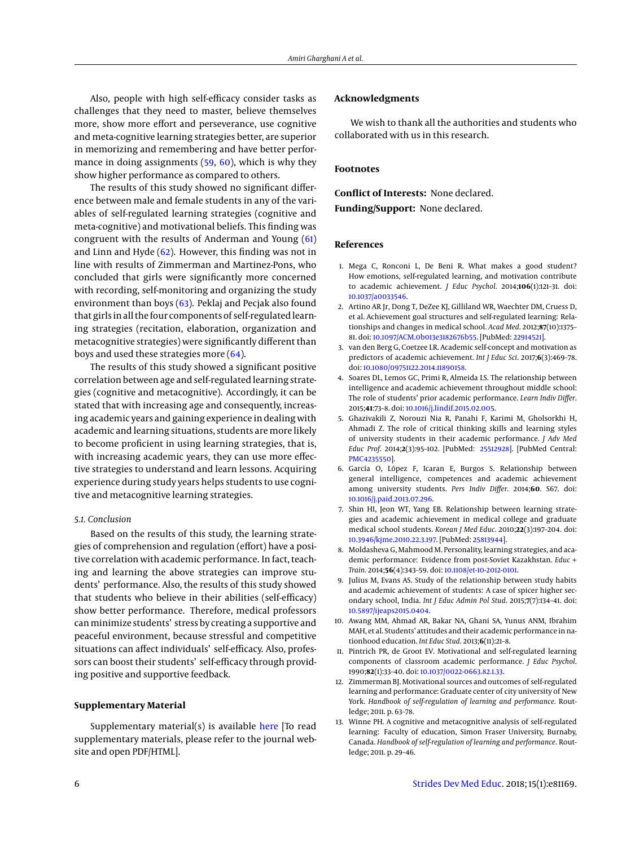Also, people with high self-efficacy consider tasks as challenges that they need to master, believe themselves more, show more effort and perseverance, use cognitive and meta-cognitive learning strategies better, are superior in memorizing and remembering and have better performance in doing assignments [\(59,](#page-7-5) [60\)](#page-7-6), which is why they show higher performance as compared to others.

The results of this study showed no significant difference between male and female students in any of the variables of self-regulated learning strategies (cognitive and meta-cognitive) and motivational beliefs. This finding was congruent with the results of Anderman and Young [\(61\)](#page-7-7) and Linn and Hyde  $(62)$ . However, this finding was not in line with results of Zimmerman and Martinez-Pons, who concluded that girls were significantly more concerned with recording, self-monitoring and organizing the study environment than boys [\(63\)](#page-7-9). Peklaj and Pecjak also found that girls in all the four components of self-regulated learning strategies (recitation, elaboration, organization and metacognitive strategies) were significantly different than boys and used these strategies more [\(64\)](#page-7-10).

The results of this study showed a significant positive correlation between age and self-regulated learning strategies (cognitive and metacognitive). Accordingly, it can be stated that with increasing age and consequently, increasing academic years and gaining experience in dealing with academic and learning situations, students are more likely to become proficient in using learning strategies, that is, with increasing academic years, they can use more effective strategies to understand and learn lessons. Acquiring experience during study years helps students to use cognitive and metacognitive learning strategies.

## *5.1. Conclusion*

Based on the results of this study, the learning strategies of comprehension and regulation (effort) have a positive correlation with academic performance. In fact, teaching and learning the above strategies can improve students' performance. Also, the results of this study showed that students who believe in their abilities (self-efficacy) show better performance. Therefore, medical professors canminimize students' stress by creating a supportive and peaceful environment, because stressful and competitive situations can affect individuals' self-efficacy. Also, professors can boost their students' self-efficacy through providing positive and supportive feedback.

## **Supplementary Material**

Supplementary material(s) is available [here](https://neoscriber.org/cdn/serve/314ad/35c3836df60c2234b1c7c68a303ab8b3dcdd00d7/sdme-81169-supplementary%20file.pdf) [To read supplementary materials, please refer to the journal website and open PDF/HTML].

## **Acknowledgments**

We wish to thank all the authorities and students who collaborated with us in this research.

## **Footnotes**

**Conflict of Interests:** None declared.

**Funding/Support:** None declared.

### **References**

- <span id="page-5-0"></span>1. Mega C, Ronconi L, De Beni R. What makes a good student? How emotions, self-regulated learning, and motivation contribute to academic achievement. *J Educ Psychol*. 2014;**106**(1):121–31. doi: [10.1037/a0033546.](http://dx.doi.org/10.1037/a0033546)
- <span id="page-5-1"></span>2. Artino AR Jr, Dong T, DeZee KJ, Gilliland WR, Waechter DM, Cruess D, et al. Achievement goal structures and self-regulated learning: Relationships and changes in medical school. *Acad Med*. 2012;**87**(10):1375– 81. doi: [10.1097/ACM.0b013e3182676b55.](http://dx.doi.org/10.1097/ACM.0b013e3182676b55) [PubMed: [22914521\]](http://www.ncbi.nlm.nih.gov/pubmed/22914521).
- <span id="page-5-2"></span>3. van den Berg G, Coetzee LR. Academic self-concept and motivation as predictors of academic achievement. *Int J Educ Sci*. 2017;**6**(3):469–78. doi: [10.1080/09751122.2014.11890158.](http://dx.doi.org/10.1080/09751122.2014.11890158)
- 4. Soares DL, Lemos GC, Primi R, Almeida LS. The relationship between intelligence and academic achievement throughout middle school: The role of students' prior academic performance. *Learn Indiv Differ*. 2015;**41**:73–8. doi: [10.1016/j.lindif.2015.02.005.](http://dx.doi.org/10.1016/j.lindif.2015.02.005)
- 5. Ghazivakili Z, Norouzi Nia R, Panahi F, Karimi M, Gholsorkhi H, Ahmadi Z. The role of critical thinking skills and learning styles of university students in their academic performance. *J Adv Med Educ Prof*. 2014;**2**(3):95–102. [PubMed: [25512928\]](http://www.ncbi.nlm.nih.gov/pubmed/25512928). [PubMed Central: [PMC4235550\]](https://www.ncbi.nlm.nih.gov/pmc/articles/PMC4235550).
- 6. García O, López F, Icaran E, Burgos S. Relationship between general intelligence, competences and academic achievement among university students. *Pers Indiv Differ*. 2014;**60**. S67. doi: [10.1016/j.paid.2013.07.296.](http://dx.doi.org/10.1016/j.paid.2013.07.296)
- <span id="page-5-7"></span>7. Shin HI, Jeon WT, Yang EB. Relationship between learning strategies and academic achievement in medical college and graduate medical school students. *Korean J Med Educ*. 2010;**22**(3):197–204. doi: [10.3946/kjme.2010.22.3.197.](http://dx.doi.org/10.3946/kjme.2010.22.3.197) [PubMed: [25813944\]](http://www.ncbi.nlm.nih.gov/pubmed/25813944).
- <span id="page-5-8"></span>8. Moldasheva G, Mahmood M. Personality, learning strategies, and academic performance: Evidence from post-Soviet Kazakhstan. *Educ + Train*. 2014;**56**(4):343–59. doi: [10.1108/et-10-2012-0101.](http://dx.doi.org/10.1108/et-10-2012-0101)
- 9. Julius M, Evans AS. Study of the relationship between study habits and academic achievement of students: A case of spicer higher secondary school, India. *Int J Educ Admin Pol Stud*. 2015;**7**(7):134–41. doi: [10.5897/ijeaps2015.0404.](http://dx.doi.org/10.5897/ijeaps2015.0404)
- <span id="page-5-3"></span>10. Awang MM, Ahmad AR, Bakar NA, Ghani SA, Yunus ANM, Ibrahim MAH, et al. Students' attitudes and their academic performance in nationhood education. *Int Educ Stud*. 2013;**6**(11):21–8.
- <span id="page-5-4"></span>11. Pintrich PR, de Groot EV. Motivational and self-regulated learning components of classroom academic performance. *J Educ Psychol*. 1990;**82**(1):33–40. doi: [10.1037/0022-0663.82.1.33.](http://dx.doi.org/10.1037/0022-0663.82.1.33)
- <span id="page-5-5"></span>12. Zimmerman BJ. Motivational sources and outcomes of self-regulated learning and performance: Graduate center of city university of New York. *Handbook of self-regulation of learning and performance*. Routledge; 2011. p. 63–78.
- <span id="page-5-6"></span>13. Winne PH. A cognitive and metacognitive analysis of self-regulated learning: Faculty of education, Simon Fraser University, Burnaby, Canada. *Handbook of self-regulation of learning and performance*. Routledge; 2011. p. 29–46.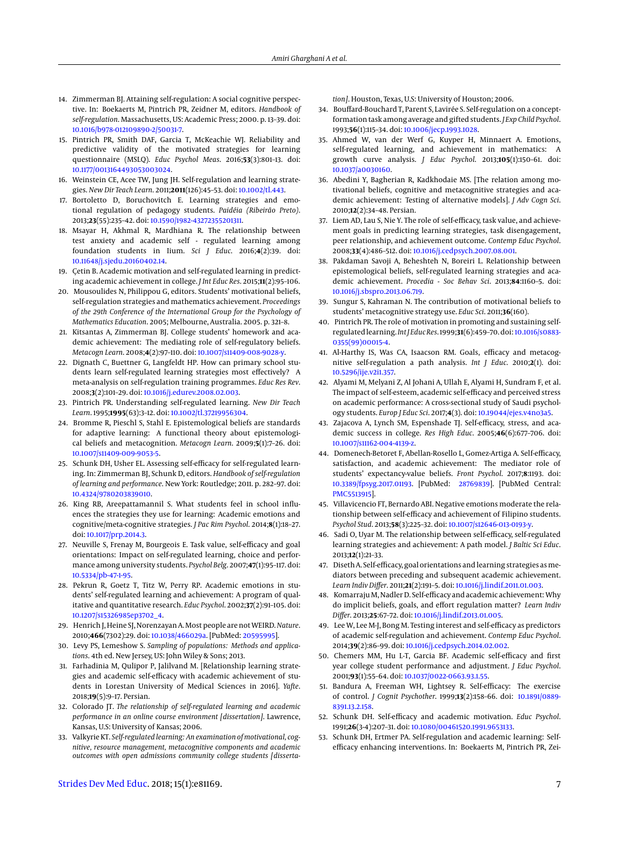- <span id="page-6-0"></span>14. Zimmerman BJ. Attaining self-regulation: A social cognitive perspective. In: Boekaerts M, Pintrich PR, Zeidner M, editors. *Handbook of self-regulation*. Massachusetts, US: Academic Press; 2000. p. 13–39. doi: [10.1016/b978-012109890-2/50031-7.](http://dx.doi.org/10.1016/b978-012109890-2/50031-7)
- <span id="page-6-1"></span>15. Pintrich PR, Smith DAF, Garcia T, McKeachie WJ. Reliability and predictive validity of the motivated strategies for learning questionnaire (MSLQ). *Educ Psychol Meas*. 2016;**53**(3):801–13. doi: [10.1177/0013164493053003024.](http://dx.doi.org/10.1177/0013164493053003024)
- <span id="page-6-2"></span>16. Weinstein CE, Acee TW, Jung JH. Self-regulation and learning strategies. *New Dir Teach Learn*. 2011;**2011**(126):45–53. doi: [10.1002/tl.443.](http://dx.doi.org/10.1002/tl.443)
- <span id="page-6-3"></span>17. Bortoletto D, Boruchovitch E. Learning strategies and emotional regulation of pedagogy students. *Paidéia (Ribeirão Preto)*. 2013;**23**(55):235–42. doi: [10.1590/1982-43272355201311.](http://dx.doi.org/10.1590/1982-43272355201311)
- <span id="page-6-4"></span>18. Msayar H, Akhmal R, Mardhiana R. The relationship between test anxiety and academic self - regulated learning among foundation students in Iium. *Sci J Educ*. 2016;**4**(2):39. doi: [10.11648/j.sjedu.20160402.14.](http://dx.doi.org/10.11648/j.sjedu.20160402.14)
- 19. Çetin B. Academic motivation and self-regulated learning in predicting academic achievement in college. *J Int Educ Res*. 2015;**11**(2):95–106.
- 20. Mousoulides N, Philippou G, editors. Students' motivational beliefs, self-regulation strategies and mathematics achievement. *Proceedings of the 29th Conference of the International Group for the Psychology of Mathematics Education*. 2005; Melbourne, Australia. 2005. p. 321–8.
- <span id="page-6-5"></span>21. Kitsantas A, Zimmerman BJ. College students' homework and academic achievement: The mediating role of self-regulatory beliefs. *Metacogn Learn*. 2008;**4**(2):97–110. doi: [10.1007/s11409-008-9028-y.](http://dx.doi.org/10.1007/s11409-008-9028-y)
- <span id="page-6-6"></span>22. Dignath C, Buettner G, Langfeldt HP. How can primary school students learn self-regulated learning strategies most effectively? A meta-analysis on self-regulation training programmes. *Educ Res Rev*. 2008;**3**(2):101–29. doi: [10.1016/j.edurev.2008.02.003.](http://dx.doi.org/10.1016/j.edurev.2008.02.003)
- <span id="page-6-7"></span>23. Pintrich PR. Understanding self-regulated learning. *New Dir Teach Learn*. 1995;**1995**(63):3–12. doi: [10.1002/tl.37219956304.](http://dx.doi.org/10.1002/tl.37219956304)
- <span id="page-6-8"></span>24. Bromme R, Pieschl S, Stahl E. Epistemological beliefs are standards for adaptive learning: A functional theory about epistemological beliefs and metacognition. *Metacogn Learn*. 2009;**5**(1):7–26. doi: [10.1007/s11409-009-9053-5.](http://dx.doi.org/10.1007/s11409-009-9053-5)
- <span id="page-6-9"></span>25. Schunk DH, Usher EL. Assessing self-efficacy for self-regulated learning. In: Zimmerman BJ, Schunk D, editors. *Handbook of self-regulation of learning and performance*. New York: Routledge; 2011. p. 282–97. doi: [10.4324/9780203839010.](http://dx.doi.org/10.4324/9780203839010)
- <span id="page-6-10"></span>26. King RB, Areepattamannil S. What students feel in school influences the strategies they use for learning: Academic emotions and cognitive/meta-cognitive strategies. *J Pac Rim Psychol*. 2014;**8**(1):18–27. doi: [10.1017/prp.2014.3.](http://dx.doi.org/10.1017/prp.2014.3)
- <span id="page-6-11"></span>27. Neuville S, Frenay M, Bourgeois E. Task value, self-efficacy and goal orientations: Impact on self-regulated learning, choice and performance among university students. *Psychol Belg*. 2007;**47**(1):95–117. doi: [10.5334/pb-47-1-95.](http://dx.doi.org/10.5334/pb-47-1-95)
- <span id="page-6-12"></span>28. Pekrun R, Goetz T, Titz W, Perry RP. Academic emotions in students' self-regulated learning and achievement: A program of qualitative and quantitative research. *Educ Psychol*. 2002;**37**(2):91–105. doi: [10.1207/s15326985ep3702\\_4.](http://dx.doi.org/10.1207/s15326985ep3702_4)
- <span id="page-6-13"></span>29. Henrich J, Heine SJ, Norenzayan A. Most people are notWEIRD.*Nature*. 2010;**466**(7302):29. doi: [10.1038/466029a.](http://dx.doi.org/10.1038/466029a) [PubMed: [20595995\]](http://www.ncbi.nlm.nih.gov/pubmed/20595995).
- <span id="page-6-14"></span>30. Levy PS, Lemeshow S. *Sampling of populations: Methods and applications*. 4th ed. New Jersey, US: John Wiley & Sons; 2013.
- <span id="page-6-15"></span>31. Farhadinia M, Qulipor P, Jalilvand M. [Relationship learning strategies and academic self-efficacy with academic achievement of students in Lorestan University of Medical Sciences in 2016]. *Yafte*. 2018;**19**(5):9–17. Persian.
- <span id="page-6-16"></span>32. Colorado JT. *The relationship of self-regulated learning and academic performance in an online course environment [dissertation]*. Lawrence, Kansas, U.S: University of Kansas; 2006.
- <span id="page-6-17"></span>33. Valkyrie KT. *Self-regulated learning: An examination of motivational, cognitive, resource management, metacognitive components and academic outcomes with open admissions community college students [disserta-*

*tion]*. Houston, Texas, U.S: University of Houston; 2006.

- <span id="page-6-18"></span>34. Bouffard-Bouchard T, Parent S, Lavirée S. Self-regulation on a conceptformation task among average and gifted students. *J Exp Child Psychol*. 1993;**56**(1):115–34. doi: [10.1006/jecp.1993.1028.](http://dx.doi.org/10.1006/jecp.1993.1028)
- <span id="page-6-19"></span>35. Ahmed W, van der Werf G, Kuyper H, Minnaert A. Emotions, self-regulated learning, and achievement in mathematics: A growth curve analysis. *J Educ Psychol*. 2013;**105**(1):150–61. doi: [10.1037/a0030160.](http://dx.doi.org/10.1037/a0030160)
- 36. Abedini Y, Bagherian R, Kadkhodaie MS. [The relation among motivational beliefs, cognitive and metacognitive strategies and academic achievement: Testing of alternative models]. *J Adv Cogn Sci*. 2010;**12**(2):34–48. Persian.
- 37. Liem AD, Lau S, Nie Y. The role of self-efficacy, task value, and achievement goals in predicting learning strategies, task disengagement, peer relationship, and achievement outcome. *Contemp Educ Psychol*. 2008;**33**(4):486–512. doi: [10.1016/j.cedpsych.2007.08.001.](http://dx.doi.org/10.1016/j.cedpsych.2007.08.001)
- <span id="page-6-20"></span>38. Pakdaman Savoji A, Beheshteh N, Boreiri L. Relationship between epistemological beliefs, self-regulated learning strategies and academic achievement. *Procedia - Soc Behav Sci*. 2013;**84**:1160–5. doi: [10.1016/j.sbspro.2013.06.719.](http://dx.doi.org/10.1016/j.sbspro.2013.06.719)
- <span id="page-6-21"></span>39. Sungur S, Kahraman N. The contribution of motivational beliefs to students' metacognitive strategy use. *Educ Sci*. 2011;**36**(160).
- <span id="page-6-22"></span>40. Pintrich PR. The role of motivation in promoting and sustaining selfregulated learning.*IntJ Educ Res*. 1999;**31**(6):459–70. doi: [10.1016/s0883-](http://dx.doi.org/10.1016/s0883-0355(99)00015-4) [0355\(99\)00015-4.](http://dx.doi.org/10.1016/s0883-0355(99)00015-4)
- <span id="page-6-23"></span>41. Al-Harthy IS, Was CA, Isaacson RM. Goals, efficacy and metacognitive self-regulation a path analysis. *Int J Educ*. 2010;**2**(1). doi: [10.5296/ije.v2i1.357.](http://dx.doi.org/10.5296/ije.v2i1.357)
- <span id="page-6-24"></span>42. Alyami M, Melyani Z, Al Johani A, Ullah E, Alyami H, Sundram F, et al. The impact of self-esteem, academic self-efficacy and perceived stress on academic performance: A cross-sectional study of Saudi psychology students. *Europ J Educ Sci*. 2017;**4**(3). doi: [10.19044/ejes.v4no3a5.](http://dx.doi.org/10.19044/ejes.v4no3a5)
- <span id="page-6-25"></span>43. Zajacova A, Lynch SM, Espenshade TJ. Self-efficacy, stress, and academic success in college. *Res High Educ*. 2005;**46**(6):677–706. doi: [10.1007/s11162-004-4139-z.](http://dx.doi.org/10.1007/s11162-004-4139-z)
- <span id="page-6-26"></span>44. Domenech-Betoret F, Abellan-Rosello L, Gomez-Artiga A. Self-efficacy, satisfaction, and academic achievement: The mediator role of students' expectancy-value beliefs. *Front Psychol*. 2017;**8**:1193. doi: [10.3389/fpsyg.2017.01193.](http://dx.doi.org/10.3389/fpsyg.2017.01193) [PubMed: [28769839\]](http://www.ncbi.nlm.nih.gov/pubmed/28769839). [PubMed Central: [PMC5513915\]](https://www.ncbi.nlm.nih.gov/pmc/articles/PMC5513915).
- <span id="page-6-27"></span>45. Villavicencio FT, Bernardo ABI. Negative emotions moderate the relationship between self-efficacy and achievement of Filipino students. *Psychol Stud*. 2013;**58**(3):225–32. doi: [10.1007/s12646-013-0193-y.](http://dx.doi.org/10.1007/s12646-013-0193-y)
- <span id="page-6-28"></span>46. Sadi O, Uyar M. The relationship between self-efficacy, self-regulated learning strategies and achievement: A path model. *J Baltic Sci Educ*. 2013;**12**(1):21–33.
- <span id="page-6-29"></span>47. Diseth A. Self-efficacy, goal orientations and learning strategies as mediators between preceding and subsequent academic achievement. *Learn Indiv Differ*. 2011;**21**(2):191–5. doi: [10.1016/j.lindif.2011.01.003.](http://dx.doi.org/10.1016/j.lindif.2011.01.003)
- <span id="page-6-30"></span>48. KomarrajuM, Nadler D. Self-efficacy and academic achievement: Why do implicit beliefs, goals, and effort regulation matter? *Learn Indiv Differ*. 2013;**25**:67–72. doi: [10.1016/j.lindif.2013.01.005.](http://dx.doi.org/10.1016/j.lindif.2013.01.005)
- <span id="page-6-31"></span>49. Lee W, Lee M-J, Bong M. Testing interest and self-efficacy as predictors of academic self-regulation and achievement. *Contemp Educ Psychol*. 2014;**39**(2):86–99. doi: [10.1016/j.cedpsych.2014.02.002.](http://dx.doi.org/10.1016/j.cedpsych.2014.02.002)
- <span id="page-6-32"></span>50. Chemers MM, Hu L-T, Garcia BF. Academic self-efficacy and first year college student performance and adjustment. *J Educ Psychol*. 2001;**93**(1):55–64. doi: [10.1037/0022-0663.93.1.55.](http://dx.doi.org/10.1037/0022-0663.93.1.55)
- <span id="page-6-33"></span>51. Bandura A, Freeman WH, Lightsey R. Self-efficacy: The exercise of control. *J Cognit Psychother*. 1999;**13**(2):158–66. doi: [10.1891/0889-](http://dx.doi.org/10.1891/0889-8391.13.2.158) [8391.13.2.158.](http://dx.doi.org/10.1891/0889-8391.13.2.158)
- <span id="page-6-35"></span>52. Schunk DH. Self-efficacy and academic motivation. *Educ Psychol*. 1991;**26**(3-4):207–31. doi: [10.1080/00461520.1991.9653133.](http://dx.doi.org/10.1080/00461520.1991.9653133)
- <span id="page-6-34"></span>53. Schunk DH, Ertmer PA. Self-regulation and academic learning: Selfefficacy enhancing interventions. In: Boekaerts M, Pintrich PR, Zei-